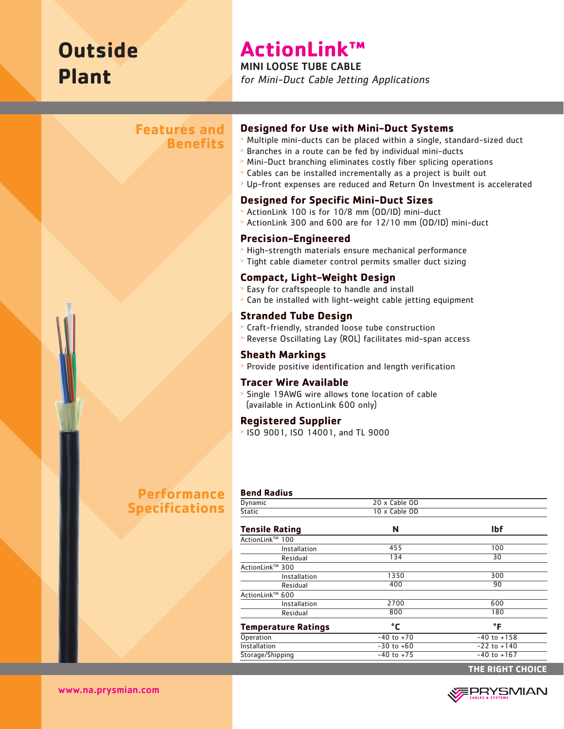# **Outside Plant**

## **ActionLink™**

MINI LOOSE TUBE CABLE

for Mini-Duct Cable Jetting Applications

## **Features and Benefits**

#### **Designed for Use with Mini-Duct Systems**

- <sup>&</sup>gt; Multiple mini-ducts can be placed within a single, standard-sized duct
- <sup>&</sup>gt; Branches in a route can be fed by individual mini-ducts
- <sup>&</sup>gt; Mini-Duct branching eliminates costly fiber splicing operations
- <sup>&</sup>gt; Cables can be installed incrementally as a project is built out
- <sup>&</sup>gt; Up-front expenses are reduced and Return On Investment is accelerated

## **Designed for Specific Mini-Duct Sizes**

- <sup>&</sup>gt; ActionLink 100 is for 10/8 mm (OD/ID) mini-duct
- <sup>&</sup>gt; ActionLink 300 and 600 are for 12/10 mm (OD/ID) mini-duct

### **Precision-Engineered**

- <sup>&</sup>gt; High-strength materials ensure mechanical performance
- <sup>&</sup>gt; Tight cable diameter control permits smaller duct sizing

## **Compact, Light-Weight Design**

- <sup>&</sup>gt; Easy for craftspeople to handle and install
- <sup>&</sup>gt; Can be installed with light-weight cable jetting equipment

#### **Stranded Tube Design**

- <sup>&</sup>gt; Craft-friendly, stranded loose tube construction
- <sup>&</sup>gt; Reverse Oscillating Lay (ROL) facilitates mid-span access

#### **Sheath Markings**

<sup>&</sup>gt; Provide positive identification and length verification

#### **Tracer Wire Available**

<sup>&</sup>gt; Single 19AWG wire allows tone location of cable (available in ActionLink 600 only)

#### **Registered Supplier**

<sup>&</sup>gt; ISO 9001, ISO 14001, and TL 9000

## **Performance Specifications**

#### **Bend Radius**

| Dynamic                    | 20 x Cable OD  |                 |
|----------------------------|----------------|-----------------|
| <b>Static</b>              | 10 x Cable OD  |                 |
| <b>Tensile Rating</b>      | N              | <b>Ibf</b>      |
| ActionLink™ 100            |                |                 |
| Installation               | 455            | 100             |
| Residual                   | 134            | 30              |
| ActionLink™ 300            |                |                 |
| Installation               | 1350           | 300             |
| Residual                   | 400            | 90              |
| ActionLink™ 600            |                |                 |
| Installation               | 2700           | 600             |
| Residual                   | 800            | 180             |
| <b>Temperature Ratings</b> | °C             | °F              |
| Operation                  | $-40$ to $+70$ | $-40$ to $+158$ |
| Installation               | $-30$ to $+60$ | $-22$ to $+140$ |
| Storage/Shipping           | $-40$ to $+75$ | $-40$ to $+167$ |
|                            |                |                 |

**THE RIGHT CHOICE**



www.na.prysmian.com